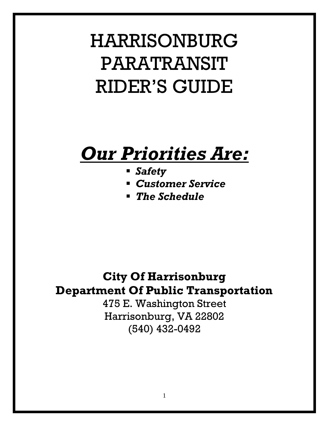# HARRISONBURG PARATRANSIT RIDER'S GUIDE

## *Our Priorities Are:*

- *Safety*
- *Customer Service*
- *The Schedule*

### **City Of Harrisonburg Department Of Public Transportation**

475 E. Washington Street Harrisonburg, VA 22802 (540) 432-0492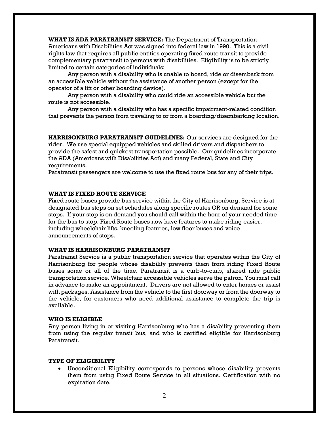**WHAT IS ADA PARATRANSIT SERVICE:** The Department of Transportation Americans with Disabilities Act was signed into federal law in 1990. This is a civil rights law that requires all public entities operating fixed route transit to provide complementary paratransit to persons with disabilities. Eligibility is to be strictly limited to certain categories of individuals:

Any person with a disability who is unable to board, ride or disembark from an accessible vehicle without the assistance of another person (except for the operator of a lift or other boarding device).

Any person with a disability who could ride an accessible vehicle but the route is not accessible.

Any person with a disability who has a specific impairment-related condition that prevents the person from traveling to or from a boarding/disembarking location.

**HARRISONBURG PARATRANSIT GUIDELINES:** Our services are designed for the rider. We use special equipped vehicles and skilled drivers and dispatchers to provide the safest and quickest transportation possible. Our guidelines incorporate the ADA (Americans with Disabilities Act) and many Federal, State and City requirements.

Paratransit passengers are welcome to use the fixed route bus for any of their trips.

#### **WHAT IS FIXED ROUTE SERVICE**

Fixed route buses provide bus service within the City of Harrisonburg. Service is at designated bus stops on set schedules along specific routes OR on demand for some stops. If your stop is on demand you should call within the hour of your needed time for the bus to stop. Fixed Route buses now have features to make riding easier, including wheelchair lifts, kneeling features, low floor buses and voice announcements of stops.

#### **WHAT IS HARRISONBURG PARATRANSIT**

Paratransit Service is a public transportation service that operates within the City of Harrisonburg for people whose disability prevents them from riding Fixed Route buses some or all of the time. Paratransit is a curb-to-curb, shared ride public transportation service. Wheelchair accessible vehicles serve the patron. You must call in advance to make an appointment. Drivers are not allowed to enter homes or assist with packages. Assistance from the vehicle to the first doorway or from the doorway to the vehicle, for customers who need additional assistance to complete the trip is available.

#### **WHO IS ELIGIBLE**

Any person living in or visiting Harrisonburg who has a disability preventing them from using the regular transit bus, and who is certified eligible for Harrisonburg Paratransit.

#### **TYPE OF ELIGIBILITY**

• Unconditional Eligibility corresponds to persons whose disability prevents them from using Fixed Route Service in all situations. Certification with no expiration date.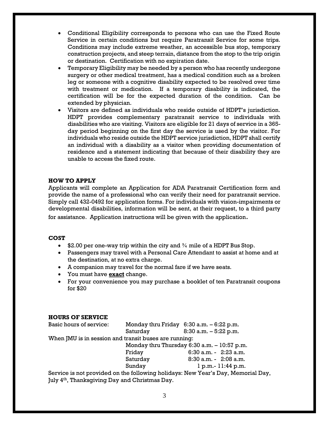- Conditional Eligibility corresponds to persons who can use the Fixed Route Service in certain conditions but require Paratransit Service for some trips. Conditions may include extreme weather, an accessible bus stop, temporary construction projects, and steep terrain, distance from the stop to the trip origin or destination. Certification with no expiration date.
- Temporary Eligibility may be needed by a person who has recently undergone surgery or other medical treatment, has a medical condition such as a broken leg or someone with a cognitive disability expected to be resolved over time with treatment or medication. If a temporary disability is indicated, the certification will be for the expected duration of the condition. Can be extended by physician.
- Visitors are defined as individuals who reside outside of HDPT's jurisdiction. HDPT provides complementary paratransit service to individuals with disabilities who are visiting. Visitors are eligible for 21 days of service in a 365 day period beginning on the first day the service is used by the visitor. For individuals who reside outside the HDPT service jurisdiction, HDPT shall certify an individual with a disability as a visitor when providing documentation of residence and a statement indicating that because of their disability they are unable to access the fixed route.

#### **HOW TO APPLY**

Applicants will complete an Application for ADA Paratransit Certification form and provide the name of a professional who can verify their need for paratransit service. Simply call 432-0492 for application forms. For individuals with vision-impairments or developmental disabilities, information will be sent, at their request, to a third party for assistance. Application instructions will be given with the application.

#### **COST**

- \$2.00 per one-way trip within the city and  $\frac{3}{4}$  mile of a HDPT Bus Stop.
- Passengers may travel with a Personal Care Attendant to assist at home and at the destination, at no extra charge.
- A companion may travel for the normal fare if we have seats.
- You must have **exact** change.
- For your convenience you may purchase a booklet of ten Paratransit coupons for \$20

#### **HOURS OF SERVICE**

| Basic hours of service:                               |                                                | Monday thru Friday $6:30$ a.m. $-6:22$ p.m.                                 |
|-------------------------------------------------------|------------------------------------------------|-----------------------------------------------------------------------------|
|                                                       | Saturday                                       | $8:30$ a.m. $-5:22$ p.m.                                                    |
| When JMU is in session and transit buses are running: |                                                |                                                                             |
|                                                       | Monday thru Thursday $6:30$ a.m. $-10:57$ p.m. |                                                                             |
|                                                       | Friday                                         | $6:30$ a.m. - $2:23$ a.m.                                                   |
|                                                       | Saturday                                       | $8:30$ a.m. - $2:08$ a.m.                                                   |
|                                                       | Sunday                                         | $1 p.m. - 11:44 p.m.$                                                       |
|                                                       |                                                | Service is not provided on the following holidays: New Year's Day, Memorial |

rovided on the following holidays: New Year's Day, Memorial Day, July 4<sup>th</sup>, Thanksgiving Day and Christmas Day.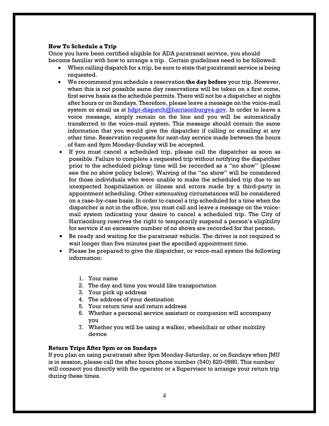#### **How To Schedule a Trip**

Once you have been certified eligible for ADA paratransit service, you should become familiar with how to arrange a trip. Certain guidelines need to be followed:

- When calling dispatch for a trip, be sure to state that paratransit service is being requested.
- We recommend you schedule a reservation **the day before** your trip. However, when this is not possible same day reservations will be taken on a first come, first serve basis as the schedule permits. There will not be a dispatcher at nights after hours or on Sundays. Therefore, please leave a message on the voice-mail system or email us at [hdpt-dispatch@harrisonburgva.gov.](mailto:hdpt-dispatch@harrisonburgva.gov) In order to leave a voice message, simply remain on the line and you will be automatically transferred to the voice-mail system. This message should contain the same information that you would give the dispatcher if calling or emailing at any other time. Reservation requests for next-day service made between the hours of 6am and 9pm Monday-Sunday will be accepted.
- If you must cancel a scheduled trip, please call the dispatcher as soon as possible. Failure to complete a requested trip without notifying the dispatcher prior to the scheduled pickup time will be recorded as a "no show" (please see the no show policy below). Waiving of the "no show" will be considered for those individuals who were unable to make the scheduled trip due to an unexpected hospitalization or illness and errors made by a third-party in appointment scheduling. Other extenuating circumstances will be considered on a case-by-case basis. In order to cancel a trip scheduled for a time when the dispatcher is not in the office, you must call and leave a message on the voicemail system indicating your desire to cancel a scheduled trip. The City of Harrisonburg reserves the right to temporarily suspend a person's eligibility for service if an excessive number of no shows are recorded for that person.
- Be ready and waiting for the paratransit vehicle. The driver is not required to wait longer than five minutes past the specified appointment time.
- Please be prepared to give the dispatcher, or voice-mail system the following information:
	- 1. Your name
	- 2. The day and time you would like transportation
	- 3. Your pick up address
	- 4. The address of your destination
	- 5. Your return time and return address
	- 6. Whether a personal service assistant or companion will accompany you
	- 7. Whether you will be using a walker, wheelchair or other mobility device

#### **Return Trips After 9pm or on Sundays**

If you plan on using paratransit after 9pm Monday-Saturday, or on Sundays when JMU is in session, please call the after hours phone number (540) 820-0980. This number will connect you directly with the operator or a Supervisor to arrange your return trip during these times.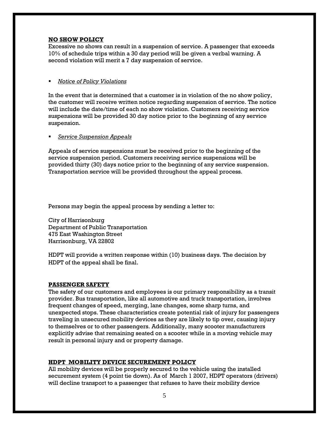#### **NO SHOW POLICY**

Excessive no shows can result in a suspension of service. A passenger that exceeds 10% of schedule trips within a 30 day period will be given a verbal warning. A second violation will merit a 7 day suspension of service.

#### **Notice of Policy Violations**

In the event that is determined that a customer is in violation of the no show policy, the customer will receive written notice regarding suspension of service. The notice will include the date/time of each no show violation. Customers receiving service suspensions will be provided 30 day notice prior to the beginning of any service suspension.

#### ▪ *Service Suspension Appeals*

Appeals of service suspensions must be received prior to the beginning of the service suspension period. Customers receiving service suspensions will be provided thirty (30) days notice prior to the beginning of any service suspension. Transportation service will be provided throughout the appeal process.

Persons may begin the appeal process by sending a letter to:

City of Harrisonburg Department of Public Transportation 475 East Washington Street Harrisonburg, VA 22802

HDPT will provide a written response within (10) business days. The decision by HDPT of the appeal shall be final.

#### **PASSENGER SAFETY**

The safety of our customers and employees is our primary responsibility as a transit provider. Bus transportation, like all automotive and truck transportation, involves frequent changes of speed, merging, lane changes, some sharp turns, and unexpected stops. These characteristics create potential risk of injury for passengers traveling in unsecured mobility devices as they are likely to tip over, causing injury to themselves or to other passengers. Additionally, many scooter manufacturers explicitly advise that remaining seated on a scooter while in a moving vehicle may result in personal injury and or property damage.

#### **HDPT MOBILITY DEVICE SECUREMENT POLICY**

All mobility devices will be properly secured to the vehicle using the installed securement system (4 point tie down). As of March 1 2007, HDPT operators (drivers) will decline transport to a passenger that refuses to have their mobility device